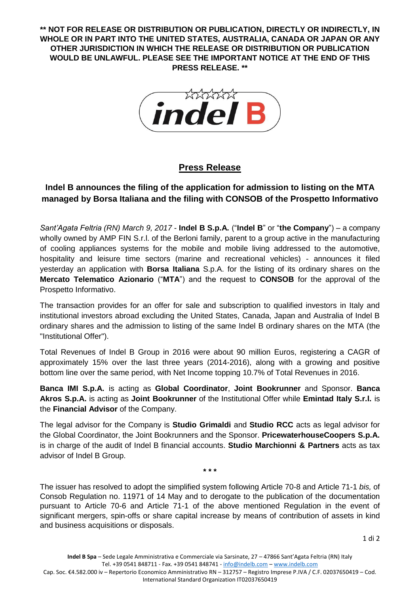**\*\* NOT FOR RELEASE OR DISTRIBUTION OR PUBLICATION, DIRECTLY OR INDIRECTLY, IN WHOLE OR IN PART INTO THE UNITED STATES, AUSTRALIA, CANADA OR JAPAN OR ANY OTHER JURISDICTION IN WHICH THE RELEASE OR DISTRIBUTION OR PUBLICATION WOULD BE UNLAWFUL. PLEASE SEE THE IMPORTANT NOTICE AT THE END OF THIS PRESS RELEASE. \*\***



## **Press Release**

## **Indel B announces the filing of the application for admission to listing on the MTA managed by Borsa Italiana and the filing with CONSOB of the Prospetto Informativo**

*Sant'Agata Feltria (RN) March 9, 2017* - **Indel B S.p.A.** ("**Indel B**" or "**the Company**") – a company wholly owned by AMP FIN S.r.l. of the Berloni family, parent to a group active in the manufacturing of cooling appliances systems for the mobile and mobile living addressed to the automotive, hospitality and leisure time sectors (marine and recreational vehicles) - announces it filed yesterday an application with **Borsa Italiana** S.p.A. for the listing of its ordinary shares on the **Mercato Telematico Azionario** ("**MTA**") and the request to **CONSOB** for the approval of the Prospetto Informativo.

The transaction provides for an offer for sale and subscription to qualified investors in Italy and institutional investors abroad excluding the United States, Canada, Japan and Australia of Indel B ordinary shares and the admission to listing of the same Indel B ordinary shares on the MTA (the "Institutional Offer").

Total Revenues of Indel B Group in 2016 were about 90 million Euros, registering a CAGR of approximately 15% over the last three years (2014-2016), along with a growing and positive bottom line over the same period, with Net Income topping 10.7% of Total Revenues in 2016.

**Banca IMI S.p.A.** is acting as **Global Coordinator**, **Joint Bookrunner** and Sponsor. **Banca Akros S.p.A.** is acting as **Joint Bookrunner** of the Institutional Offer while **Emintad Italy S.r.l.** is the **Financial Advisor** of the Company.

The legal advisor for the Company is **Studio Grimaldi** and **Studio RCC** acts as legal advisor for the Global Coordinator, the Joint Bookrunners and the Sponsor. **PricewaterhouseCoopers S.p.A.** is in charge of the audit of Indel B financial accounts. **Studio Marchionni & Partners** acts as tax advisor of Indel B Group.

**\* \* \***

The issuer has resolved to adopt the simplified system following Article 70-8 and Article 71-1 *bis,* of Consob Regulation no. 11971 of 14 May and to derogate to the publication of the documentation pursuant to Article 70-6 and Article 71-1 of the above mentioned Regulation in the event of significant mergers, spin-offs or share capital increase by means of contribution of assets in kind and business acquisitions or disposals.